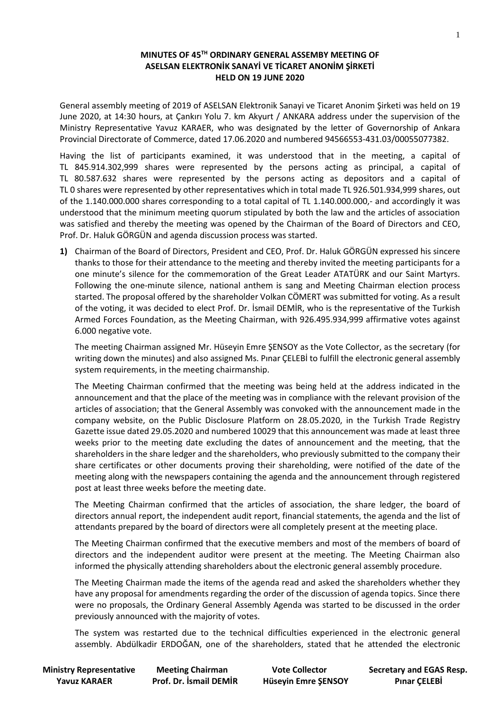## **MINUTES OF 45 TH ORDINARY GENERAL ASSEMBY MEETING OF ASELSAN ELEKTRONİK SANAYİ VE TİCARET ANONİM ŞİRKETİ HELD ON 19 JUNE 2020**

General assembly meeting of 2019 of ASELSAN Elektronik Sanayi ve Ticaret Anonim Şirketi was held on 19 June 2020, at 14:30 hours, at Çankırı Yolu 7. km Akyurt / ANKARA address under the supervision of the Ministry Representative Yavuz KARAER, who was designated by the letter of Governorship of Ankara Provincial Directorate of Commerce, dated 17.06.2020 and numbered 94566553-431.03/00055077382.

Having the list of participants examined, it was understood that in the meeting, a capital of TL 845.914.302,999 shares were represented by the persons acting as principal, a capital of TL 80.587.632 shares were represented by the persons acting as depositors and a capital of TL 0 shares were represented by other representatives which in total made TL 926.501.934,999 shares, out of the 1.140.000.000 shares corresponding to a total capital of TL 1.140.000.000,- and accordingly it was understood that the minimum meeting quorum stipulated by both the law and the articles of association was satisfied and thereby the meeting was opened by the Chairman of the Board of Directors and CEO, Prof. Dr. Haluk GÖRGÜN and agenda discussion process was started.

**1)** Chairman of the Board of Directors, President and CEO, Prof. Dr. Haluk GÖRGÜN expressed his sincere thanks to those for their attendance to the meeting and thereby invited the meeting participants for a one minute's silence for the commemoration of the Great Leader ATATÜRK and our Saint Martyrs. Following the one-minute silence, national anthem is sang and Meeting Chairman election process started. The proposal offered by the shareholder Volkan CÖMERT was submitted for voting. As a result of the voting, it was decided to elect Prof. Dr. İsmail DEMİR, who is the representative of the Turkish Armed Forces Foundation, as the Meeting Chairman, with 926.495.934,999 affirmative votes against 6.000 negative vote.

The meeting Chairman assigned Mr. Hüseyin Emre ŞENSOY as the Vote Collector, as the secretary (for writing down the minutes) and also assigned Ms. Pınar ÇELEBİ to fulfill the electronic general assembly system requirements, in the meeting chairmanship.

The Meeting Chairman confirmed that the meeting was being held at the address indicated in the announcement and that the place of the meeting was in compliance with the relevant provision of the articles of association; that the General Assembly was convoked with the announcement made in the company website, on the Public Disclosure Platform on 28.05.2020, in the Turkish Trade Registry Gazette issue dated 29.05.2020 and numbered 10029 that this announcement was made at least three weeks prior to the meeting date excluding the dates of announcement and the meeting, that the shareholders in the share ledger and the shareholders, who previously submitted to the company their share certificates or other documents proving their shareholding, were notified of the date of the meeting along with the newspapers containing the agenda and the announcement through registered post at least three weeks before the meeting date.

The Meeting Chairman confirmed that the articles of association, the share ledger, the board of directors annual report, the independent audit report, financial statements, the agenda and the list of attendants prepared by the board of directors were all completely present at the meeting place.

The Meeting Chairman confirmed that the executive members and most of the members of board of directors and the independent auditor were present at the meeting. The Meeting Chairman also informed the physically attending shareholders about the electronic general assembly procedure.

The Meeting Chairman made the items of the agenda read and asked the shareholders whether they have any proposal for amendments regarding the order of the discussion of agenda topics. Since there were no proposals, the Ordinary General Assembly Agenda was started to be discussed in the order previously announced with the majority of votes.

The system was restarted due to the technical difficulties experienced in the electronic general assembly. Abdülkadir ERDOĞAN, one of the shareholders, stated that he attended the electronic

 **Ministry Representative Meeting Chairman Vote Collector Secretary and EGAS Resp. Yavuz KARAER Prof. Dr. İsmail DEMİR Hüseyin Emre ŞENSOY Pınar ÇELEBİ**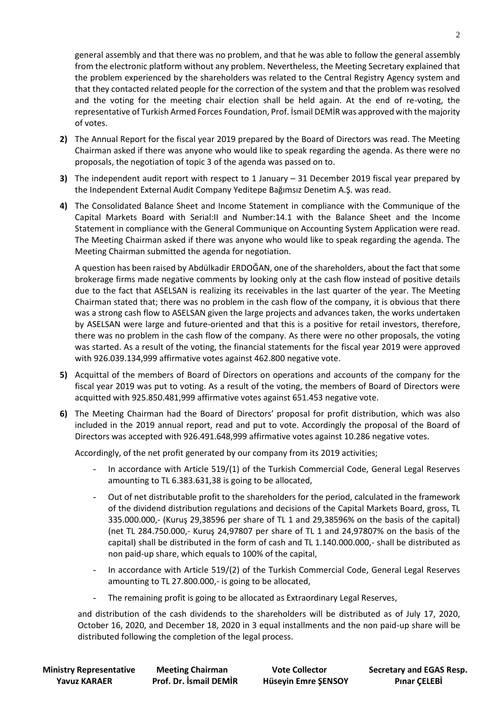general assembly and that there was no problem, and that he was able to follow the general assembly from the electronic platform without any problem. Nevertheless, the Meeting Secretary explained that the problem experienced by the shareholders was related to the Central Registry Agency system and that they contacted related people for the correction of the system and that the problem was resolved and the voting for the meeting chair election shall be held again. At the end of re-voting, the representative of Turkish Armed Forces Foundation, Prof. İsmail DEMİR was approved with the majority of votes.

- **2)** The Annual Report for the fiscal year 2019 prepared by the Board of Directors was read. The Meeting Chairman asked if there was anyone who would like to speak regarding the agenda. As there were no proposals, the negotiation of topic 3 of the agenda was passed on to.
- **3)** The independent audit report with respect to 1 January 31 December 2019 fiscal year prepared by the Independent External Audit Company Yeditepe Bağımsız Denetim A.Ş. was read.
- **4)** The Consolidated Balance Sheet and Income Statement in compliance with the Communique of the Capital Markets Board with Serial:II and Number:14.1 with the Balance Sheet and the Income Statement in compliance with the General Communique on Accounting System Application were read. The Meeting Chairman asked if there was anyone who would like to speak regarding the agenda. The Meeting Chairman submitted the agenda for negotiation.

A question has been raised by Abdülkadir ERDOĞAN, one of the shareholders, about the fact that some brokerage firms made negative comments by looking only at the cash flow instead of positive details due to the fact that ASELSAN is realizing its receivables in the last quarter of the year. The Meeting Chairman stated that; there was no problem in the cash flow of the company, it is obvious that there was a strong cash flow to ASELSAN given the large projects and advances taken, the works undertaken by ASELSAN were large and future-oriented and that this is a positive for retail investors, therefore, there was no problem in the cash flow of the company. As there were no other proposals, the voting was started. As a result of the voting, the financial statements for the fiscal year 2019 were approved with 926.039.134,999 affirmative votes against 462.800 negative vote.

- **5)** Acquittal of the members of Board of Directors on operations and accounts of the company for the fiscal year 2019 was put to voting. As a result of the voting, the members of Board of Directors were acquitted with 925.850.481,999 affirmative votes against 651.453 negative vote.
- **6)** The Meeting Chairman had the Board of Directors' proposal for profit distribution, which was also included in the 2019 annual report, read and put to vote. Accordingly the proposal of the Board of Directors was accepted with 926.491.648,999 affirmative votes against 10.286 negative votes.

Accordingly, of the net profit generated by our company from its 2019 activities;

- In accordance with Article 519/(1) of the Turkish Commercial Code, General Legal Reserves amounting to TL 6.383.631,38 is going to be allocated,
- Out of net distributable profit to the shareholders for the period, calculated in the framework of the dividend distribution regulations and decisions of the Capital Markets Board, gross, TL 335.000.000,- (Kuruş 29,38596 per share of TL 1 and 29,38596% on the basis of the capital) (net TL 284.750.000,- Kuruş 24,97807 per share of TL 1 and 24,97807% on the basis of the capital) shall be distributed in the form of cash and TL 1.140.000.000,- shall be distributed as non paid-up share, which equals to 100% of the capital,
- In accordance with Article 519/(2) of the Turkish Commercial Code, General Legal Reserves amounting to TL 27.800.000,- is going to be allocated,
- The remaining profit is going to be allocated as Extraordinary Legal Reserves,

and distribution of the cash dividends to the shareholders will be distributed as of July 17, 2020, October 16, 2020, and December 18, 2020 in 3 equal installments and the non paid-up share will be distributed following the completion of the legal process.

 **Yavuz KARAER Prof. Dr. İsmail DEMİR Hüseyin Emre ŞENSOY Pınar ÇELEBİ**

 **Ministry Representative Meeting Chairman Vote Collector Secretary and EGAS Resp.**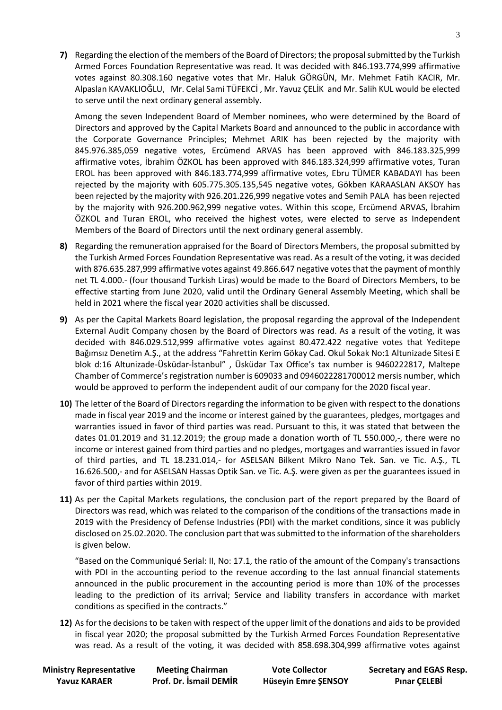**7)** Regarding the election of the members of the Board of Directors; the proposal submitted by the Turkish Armed Forces Foundation Representative was read. It was decided with 846.193.774,999 affirmative votes against 80.308.160 negative votes that Mr. Haluk GÖRGÜN, Mr. Mehmet Fatih KACIR, Mr. Alpaslan KAVAKLIOĞLU, Mr. Celal Sami TÜFEKCİ , Mr. Yavuz ÇELİK and Mr. Salih KUL would be elected to serve until the next ordinary general assembly.

Among the seven Independent Board of Member nominees, who were determined by the Board of Directors and approved by the Capital Markets Board and announced to the public in accordance with the Corporate Governance Principles; Mehmet ARIK has been rejected by the majority with 845.976.385,059 negative votes, Ercümend ARVAS has been approved with 846.183.325,999 affirmative votes, İbrahim ÖZKOL has been approved with 846.183.324,999 affirmative votes, Turan EROL has been approved with 846.183.774,999 affirmative votes, Ebru TÜMER KABADAYI has been rejected by the majority with 605.775.305.135,545 negative votes, Gökben KARAASLAN AKSOY has been rejected by the majority with 926.201.226,999 negative votes and Semih PALA has been rejected by the majority with 926.200.962,999 negative votes. Within this scope, Ercümend ARVAS, İbrahim ÖZKOL and Turan EROL, who received the highest votes, were elected to serve as Independent Members of the Board of Directors until the next ordinary general assembly.

- **8)** Regarding the remuneration appraised for the Board of Directors Members, the proposal submitted by the Turkish Armed Forces Foundation Representative was read. As a result of the voting, it was decided with 876.635.287,999 affirmative votes against 49.866.647 negative votes that the payment of monthly net TL 4.000.- (four thousand Turkish Liras) would be made to the Board of Directors Members, to be effective starting from June 2020, valid until the Ordinary General Assembly Meeting, which shall be held in 2021 where the fiscal year 2020 activities shall be discussed.
- **9)** As per the Capital Markets Board legislation, the proposal regarding the approval of the Independent External Audit Company chosen by the Board of Directors was read. As a result of the voting, it was decided with 846.029.512,999 affirmative votes against 80.472.422 negative votes that Yeditepe Bağımsız Denetim A.Ş., at the address "Fahrettin Kerim Gökay Cad. Okul Sokak No:1 Altunizade Sitesi E blok d:16 Altunizade-Üsküdar-İstanbul" , Üsküdar Tax Office's tax number is 9460222817, Maltepe Chamber of Commerce's registration number is 609033 and 0946022281700012 mersis number, which would be approved to perform the independent audit of our company for the 2020 fiscal year.
- **10)** The letter of the Board of Directors regarding the information to be given with respect to the donations made in fiscal year 2019 and the income or interest gained by the guarantees, pledges, mortgages and warranties issued in favor of third parties was read. Pursuant to this, it was stated that between the dates 01.01.2019 and 31.12.2019; the group made a donation worth of TL 550.000,-, there were no income or interest gained from third parties and no pledges, mortgages and warranties issued in favor of third parties, and TL 18.231.014,- for ASELSAN Bilkent Mikro Nano Tek. San. ve Tic. A.Ş., TL 16.626.500,- and for ASELSAN Hassas Optik San. ve Tic. A.Ş. were given as per the guarantees issued in favor of third parties within 2019.
- **11)** As per the Capital Markets regulations, the conclusion part of the report prepared by the Board of Directors was read, which was related to the comparison of the conditions of the transactions made in 2019 with the Presidency of Defense Industries (PDI) with the market conditions, since it was publicly disclosed on 25.02.2020. The conclusion part that was submitted to the information of the shareholders is given below.

"Based on the Communiqué Serial: II, No: 17.1, the ratio of the amount of the Company's transactions with PDI in the accounting period to the revenue according to the last annual financial statements announced in the public procurement in the accounting period is more than 10% of the processes leading to the prediction of its arrival; Service and liability transfers in accordance with market conditions as specified in the contracts."

**12)** As for the decisions to be taken with respect of the upper limit of the donations and aids to be provided in fiscal year 2020; the proposal submitted by the Turkish Armed Forces Foundation Representative was read. As a result of the voting, it was decided with 858.698.304,999 affirmative votes against

 **Ministry Representative Meeting Chairman Vote Collector Secretary and EGAS Resp. Yavuz KARAER Prof. Dr. İsmail DEMİR Hüseyin Emre ŞENSOY Pınar ÇELEBİ**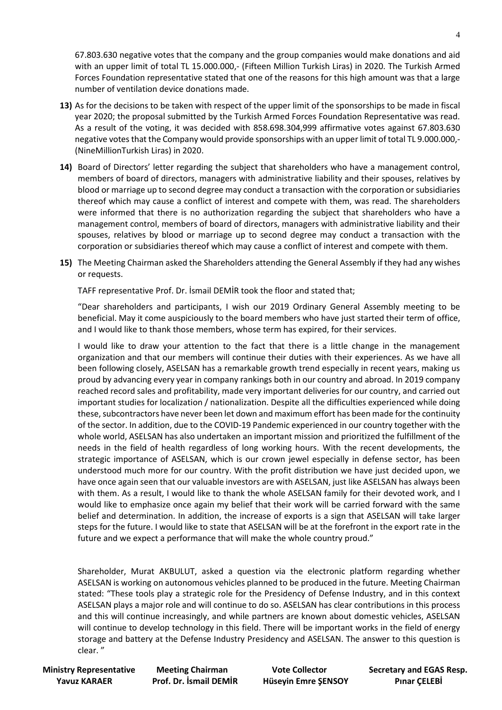67.803.630 negative votes that the company and the group companies would make donations and aid with an upper limit of total TL 15.000.000,- (Fifteen Million Turkish Liras) in 2020. The Turkish Armed Forces Foundation representative stated that one of the reasons for this high amount was that a large number of ventilation device donations made.

- **13)** As for the decisions to be taken with respect of the upper limit of the sponsorships to be made in fiscal year 2020; the proposal submitted by the Turkish Armed Forces Foundation Representative was read. As a result of the voting, it was decided with 858.698.304,999 affirmative votes against 67.803.630 negative votes that the Company would provide sponsorships with an upper limit of total TL 9.000.000,- (NineMillionTurkish Liras) in 2020.
- **14)** Board of Directors' letter regarding the subject that shareholders who have a management control, members of board of directors, managers with administrative liability and their spouses, relatives by blood or marriage up to second degree may conduct a transaction with the corporation or subsidiaries thereof which may cause a conflict of interest and compete with them, was read. The shareholders were informed that there is no authorization regarding the subject that shareholders who have a management control, members of board of directors, managers with administrative liability and their spouses, relatives by blood or marriage up to second degree may conduct a transaction with the corporation or subsidiaries thereof which may cause a conflict of interest and compete with them.
- **15)** The Meeting Chairman asked the Shareholders attending the General Assembly if they had any wishes or requests.

TAFF representative Prof. Dr. İsmail DEMİR took the floor and stated that;

"Dear shareholders and participants, I wish our 2019 Ordinary General Assembly meeting to be beneficial. May it come auspiciously to the board members who have just started their term of office, and I would like to thank those members, whose term has expired, for their services.

I would like to draw your attention to the fact that there is a little change in the management organization and that our members will continue their duties with their experiences. As we have all been following closely, ASELSAN has a remarkable growth trend especially in recent years, making us proud by advancing every year in company rankings both in our country and abroad. In 2019 company reached record sales and profitability, made very important deliveries for our country, and carried out important studies for localization / nationalization. Despite all the difficulties experienced while doing these, subcontractors have never been let down and maximum effort has been made for the continuity of the sector. In addition, due to the COVID-19 Pandemic experienced in our country together with the whole world, ASELSAN has also undertaken an important mission and prioritized the fulfillment of the needs in the field of health regardless of long working hours. With the recent developments, the strategic importance of ASELSAN, which is our crown jewel especially in defense sector, has been understood much more for our country. With the profit distribution we have just decided upon, we have once again seen that our valuable investors are with ASELSAN, just like ASELSAN has always been with them. As a result, I would like to thank the whole ASELSAN family for their devoted work, and I would like to emphasize once again my belief that their work will be carried forward with the same belief and determination. In addition, the increase of exports is a sign that ASELSAN will take larger steps for the future. I would like to state that ASELSAN will be at the forefront in the export rate in the future and we expect a performance that will make the whole country proud."

Shareholder, Murat AKBULUT, asked a question via the electronic platform regarding whether ASELSAN is working on autonomous vehicles planned to be produced in the future. Meeting Chairman stated: "These tools play a strategic role for the Presidency of Defense Industry, and in this context ASELSAN plays a major role and will continue to do so. ASELSAN has clear contributions in this process and this will continue increasingly, and while partners are known about domestic vehicles, ASELSAN will continue to develop technology in this field. There will be important works in the field of energy storage and battery at the Defense Industry Presidency and ASELSAN. The answer to this question is clear. "

 **Yavuz KARAER Prof. Dr. İsmail DEMİR Hüseyin Emre ŞENSOY Pınar ÇELEBİ**

 **Ministry Representative Meeting Chairman Vote Collector Secretary and EGAS Resp.**